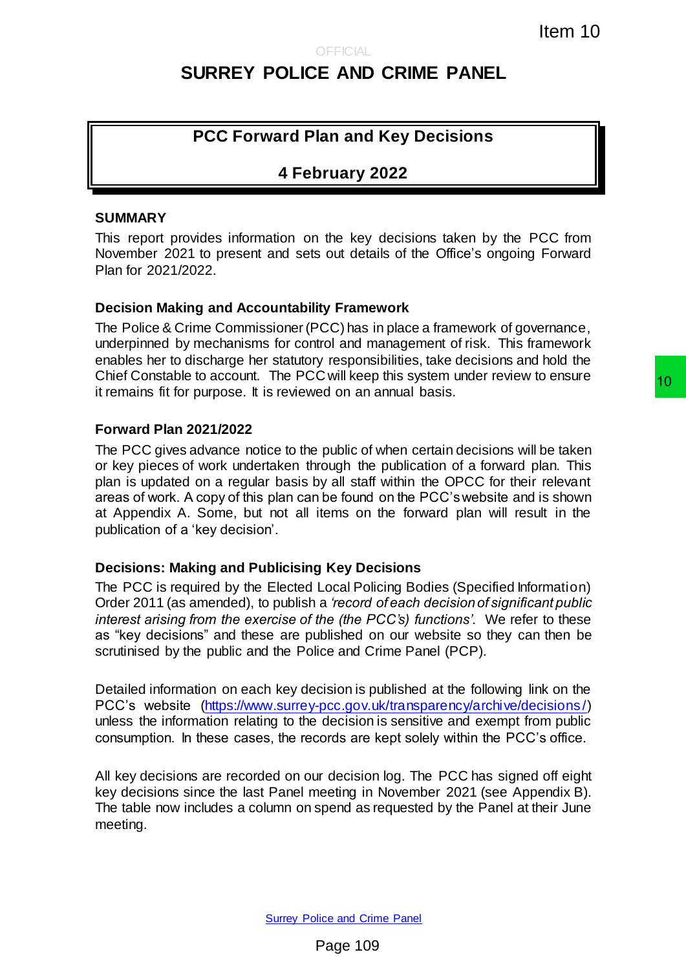# **SURREY POLICE AND CRIME PANEL**

## **PCC Forward Plan and Key Decisions**

## **4 February 2022**

#### **SUMMARY**

This report provides information on the key decisions taken by the PCC from November 2021 to present and sets out details of the Office's ongoing Forward Plan for 2021/2022.

#### **Decision Making and Accountability Framework**

The Police & Crime Commissioner (PCC) has in place a framework of governance, underpinned by mechanisms for control and management of risk. This framework enables her to discharge her statutory responsibilities, take decisions and hold the Chief Constable to account. The PCC will keep this system under review to ensure it remains fit for purpose. It is reviewed on an annual basis.

#### **Forward Plan 2021/2022**

The PCC gives advance notice to the public of when certain decisions will be taken or key pieces of work undertaken through the publication of a forward plan. This plan is updated on a regular basis by all staff within the OPCC for their relevant areas of work. A copy of this plan can be found on the PCC's website and is shown at Appendix A. Some, but not all items on the forward plan will result in the publication of a 'key decision'. Item 10<br>
Item 10<br>
E AND CRIME PANEL<br>
Item and Key Decisions<br>
processors and the PCC from<br>
source and the vertex described by the PCC from<br>
source and details of the Office's orgoing Forward<br>
ity Framework<br>
for an managemen

#### **Decisions: Making and Publicising Key Decisions**

The PCC is required by the Elected Local Policing Bodies (Specified Information) Order 2011 (as amended), to publish a *'record of each decision of significant public interest arising from the exercise of the (the PCC's) functions'*. We refer to these as "key decisions" and these are published on our website so they can then be scrutinised by the public and the Police and Crime Panel (PCP).

Detailed information on each key decision is published at the following link on the PCC's website [\(https://www.surrey-pcc.gov.uk/transparency/archive/decisions/\)](https://www.surrey-pcc.gov.uk/transparency/archive/decisions/) unless the information relating to the decision is sensitive and exempt from public consumption. In these cases, the records are kept solely within the PCC's office.

All key decisions are recorded on our decision log. The PCC has signed off eight key decisions since the last Panel meeting in November 2021 (see Appendix B). The table now includes a column on spend as requested by the Panel at their June meeting.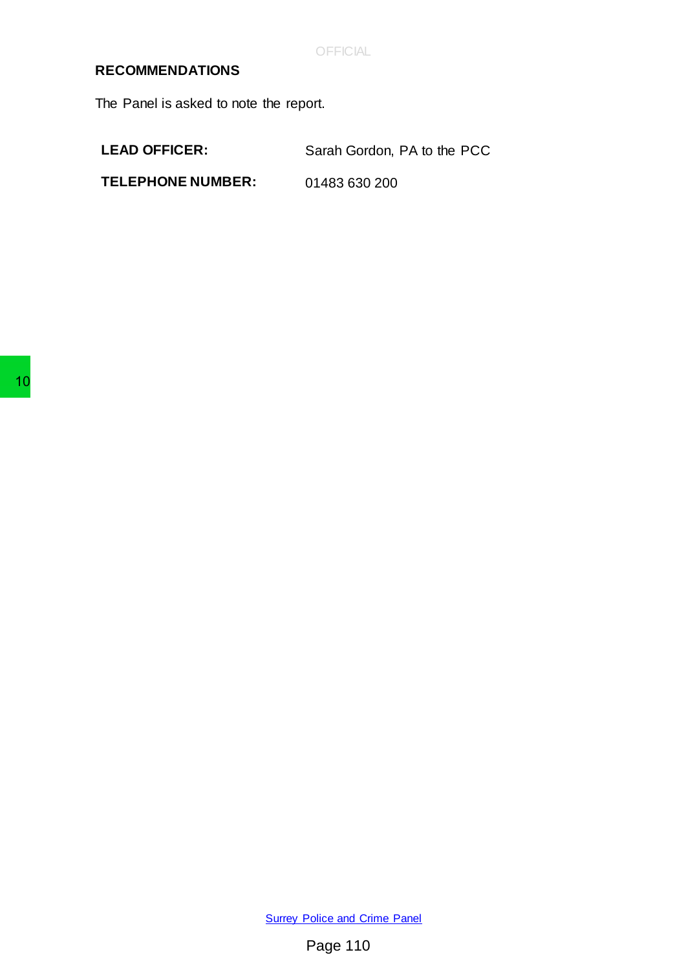**OFFICIAL** 

### **RECOMMENDATIONS**

The Panel is asked to note the report.

LEAD OFFICER: Sarah Gordon, PA to the PCC

**TELEPHONE NUMBER:** 01483 630 200

**[Surrey Police and Crime Panel](http://www.surreycc.gov.uk/your-council/councillors-and-committees/list-of-committees-and-officers/surrey-police-and-crime-panel)** Surrey Police and Cr<br>Page 110<br>Page 110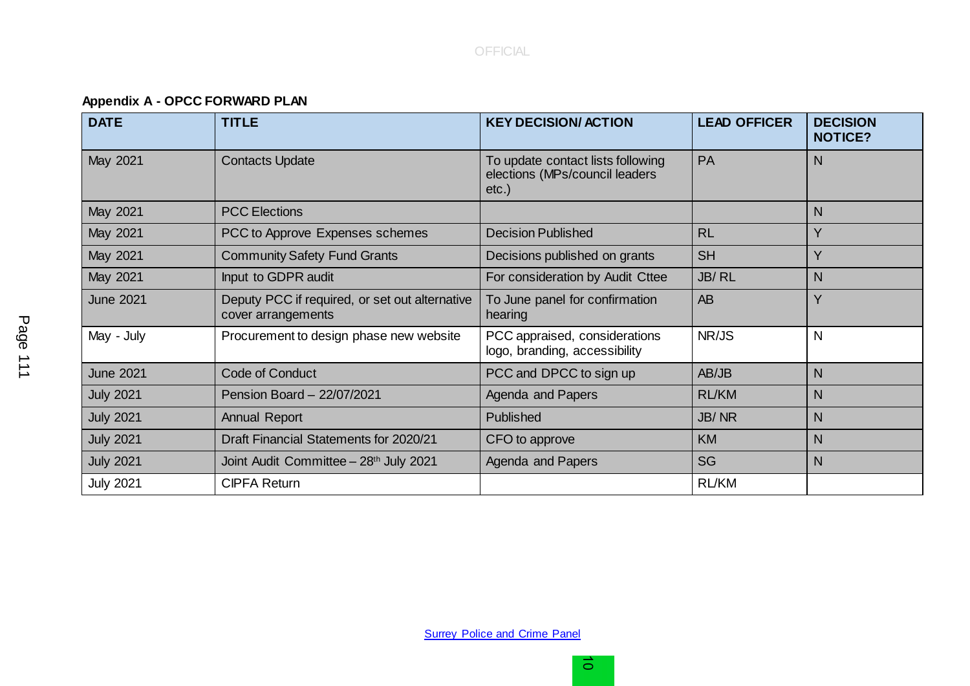**Appendix A - OPCC FORWARD PLAN**

| <b>DATE</b>      | <b>TITLE</b>                                                         | <b>KEY DECISION/ ACTION</b>                                                     | <b>LEAD OFFICER</b> | <b>DECISION</b><br><b>NOTICE?</b> |  |
|------------------|----------------------------------------------------------------------|---------------------------------------------------------------------------------|---------------------|-----------------------------------|--|
| May 2021         | <b>Contacts Update</b>                                               | To update contact lists following<br>elections (MPs/council leaders<br>$etc.$ ) | N                   |                                   |  |
| May 2021         | <b>PCC Elections</b>                                                 |                                                                                 |                     | N                                 |  |
| May 2021         | PCC to Approve Expenses schemes                                      | <b>Decision Published</b>                                                       | <b>RL</b>           | Y                                 |  |
| May 2021         | <b>Community Safety Fund Grants</b>                                  | Decisions published on grants                                                   | <b>SH</b>           | Y                                 |  |
| May 2021         | Input to GDPR audit                                                  | For consideration by Audit Cttee                                                | JB/RL               | N                                 |  |
| <b>June 2021</b> | Deputy PCC if required, or set out alternative<br>cover arrangements | To June panel for confirmation<br>hearing                                       | AB                  | Y                                 |  |
| May - July       | Procurement to design phase new website                              | NR/JS<br>PCC appraised, considerations<br>logo, branding, accessibility         |                     | N                                 |  |
| <b>June 2021</b> | Code of Conduct                                                      | PCC and DPCC to sign up                                                         | AB/JB               | N                                 |  |
| <b>July 2021</b> | Pension Board - 22/07/2021                                           | <b>Agenda and Papers</b>                                                        | <b>RL/KM</b>        | N                                 |  |
| <b>July 2021</b> | <b>Annual Report</b>                                                 | Published                                                                       | JB/NR               | N                                 |  |
| <b>July 2021</b> | Draft Financial Statements for 2020/21                               | CFO to approve                                                                  | <b>KM</b>           | N                                 |  |
| <b>July 2021</b> | Joint Audit Committee - 28th July 2021                               | Agenda and Papers                                                               | <b>SG</b>           | N                                 |  |
| <b>July 2021</b> | <b>CIPFA Return</b>                                                  |                                                                                 | <b>RL/KM</b>        |                                   |  |

**[Surrey Police and Crime Panel](http://www.surreycc.gov.uk/your-council/councillors-and-committees/list-of-committees-and-officers/surrey-police-and-crime-panel)**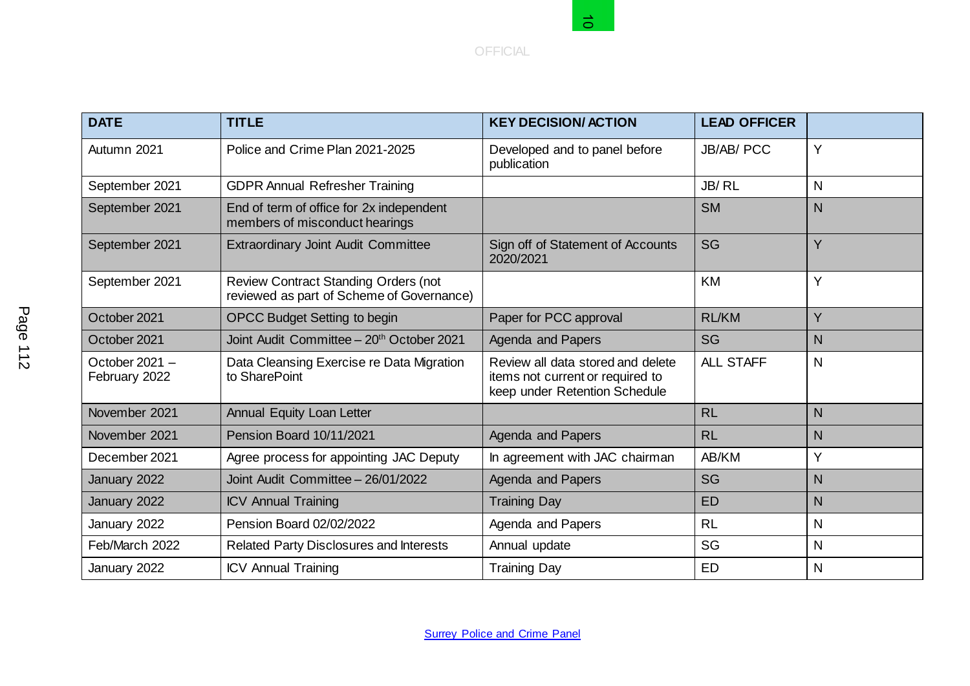

|                                 |                                                                                          | る                                                                                                      |                     |              |  |
|---------------------------------|------------------------------------------------------------------------------------------|--------------------------------------------------------------------------------------------------------|---------------------|--------------|--|
|                                 |                                                                                          | <b>OFFICIAL</b>                                                                                        |                     |              |  |
|                                 |                                                                                          |                                                                                                        |                     |              |  |
|                                 |                                                                                          |                                                                                                        |                     |              |  |
| <b>DATE</b>                     | <b>TITLE</b>                                                                             | <b>KEY DECISION/ ACTION</b>                                                                            | <b>LEAD OFFICER</b> |              |  |
| Autumn 2021                     | Police and Crime Plan 2021-2025                                                          | Developed and to panel before<br>publication                                                           | <b>JB/AB/ PCC</b>   | Y            |  |
| September 2021                  | <b>GDPR Annual Refresher Training</b>                                                    |                                                                                                        | JB/RL               | $\mathsf{N}$ |  |
| September 2021                  | End of term of office for 2x independent<br>members of misconduct hearings               |                                                                                                        | <b>SM</b>           | N            |  |
| September 2021                  | <b>Extraordinary Joint Audit Committee</b>                                               | Sign off of Statement of Accounts<br>2020/2021                                                         | SG                  | Y            |  |
| September 2021                  | <b>Review Contract Standing Orders (not</b><br>reviewed as part of Scheme of Governance) |                                                                                                        | KM                  | Υ            |  |
| October 2021                    | <b>OPCC Budget Setting to begin</b>                                                      | Paper for PCC approval                                                                                 | <b>RL/KM</b>        | Y            |  |
| October 2021                    | Joint Audit Committee - 20 <sup>th</sup> October 2021                                    | <b>Agenda and Papers</b>                                                                               | SG                  | N            |  |
| October 2021 -<br>February 2022 | Data Cleansing Exercise re Data Migration<br>to SharePoint                               | Review all data stored and delete<br>items not current or required to<br>keep under Retention Schedule | <b>ALL STAFF</b>    | $\mathsf{N}$ |  |
| November 2021                   | Annual Equity Loan Letter                                                                |                                                                                                        | <b>RL</b>           | N            |  |
| November 2021                   | Pension Board 10/11/2021                                                                 | <b>Agenda and Papers</b>                                                                               | <b>RL</b>           | N            |  |
| December 2021                   | Agree process for appointing JAC Deputy                                                  | In agreement with JAC chairman                                                                         | AB/KM               | Υ            |  |
| January 2022                    | Joint Audit Committee - 26/01/2022                                                       | Agenda and Papers                                                                                      | SG                  | N            |  |
| January 2022                    | <b>ICV Annual Training</b>                                                               | <b>Training Day</b>                                                                                    | <b>ED</b>           | N            |  |
| January 2022                    | Pension Board 02/02/2022                                                                 | Agenda and Papers                                                                                      | <b>RL</b>           | $\mathsf{N}$ |  |
| Feb/March 2022                  | Related Party Disclosures and Interests                                                  | Annual update                                                                                          | SG                  | $\mathsf{N}$ |  |
| January 2022                    | <b>ICV Annual Training</b>                                                               | <b>Training Day</b>                                                                                    | <b>ED</b>           | N            |  |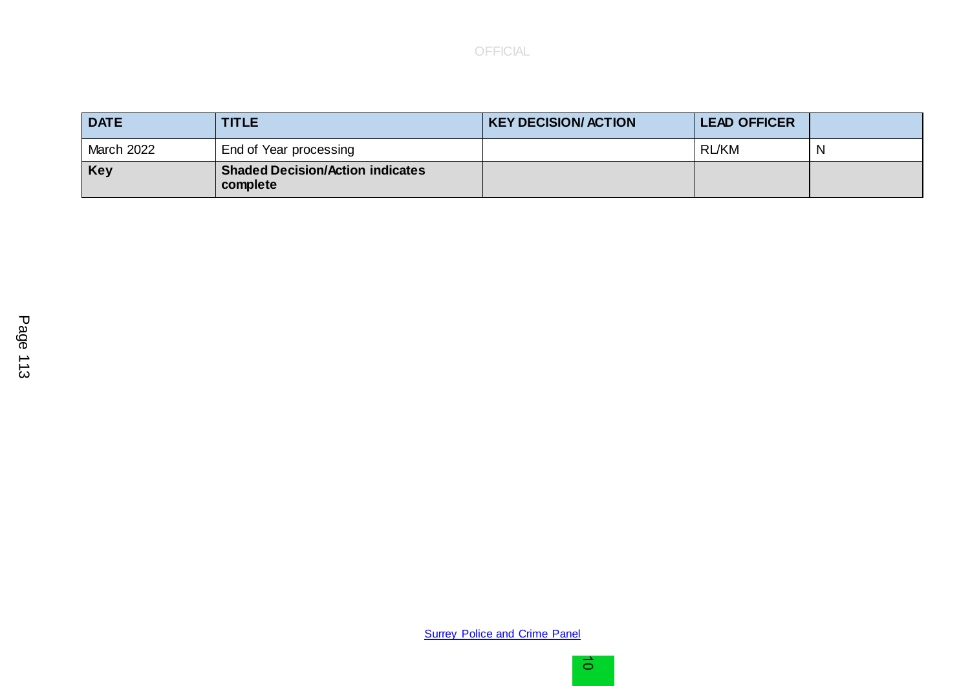| <b>DATE</b>       | <b>TITLE</b>                                        | <b>KEY DECISION/ ACTION</b> | <b>LEAD OFFICER</b> |   |
|-------------------|-----------------------------------------------------|-----------------------------|---------------------|---|
| <b>March 2022</b> | End of Year processing                              |                             | RL/KM               | N |
| <b>Key</b>        | <b>Shaded Decision/Action indicates</b><br>complete |                             |                     |   |

**[Surrey Police and Crime Panel](http://www.surreycc.gov.uk/your-council/councillors-and-committees/list-of-committees-and-officers/surrey-police-and-crime-panel)**